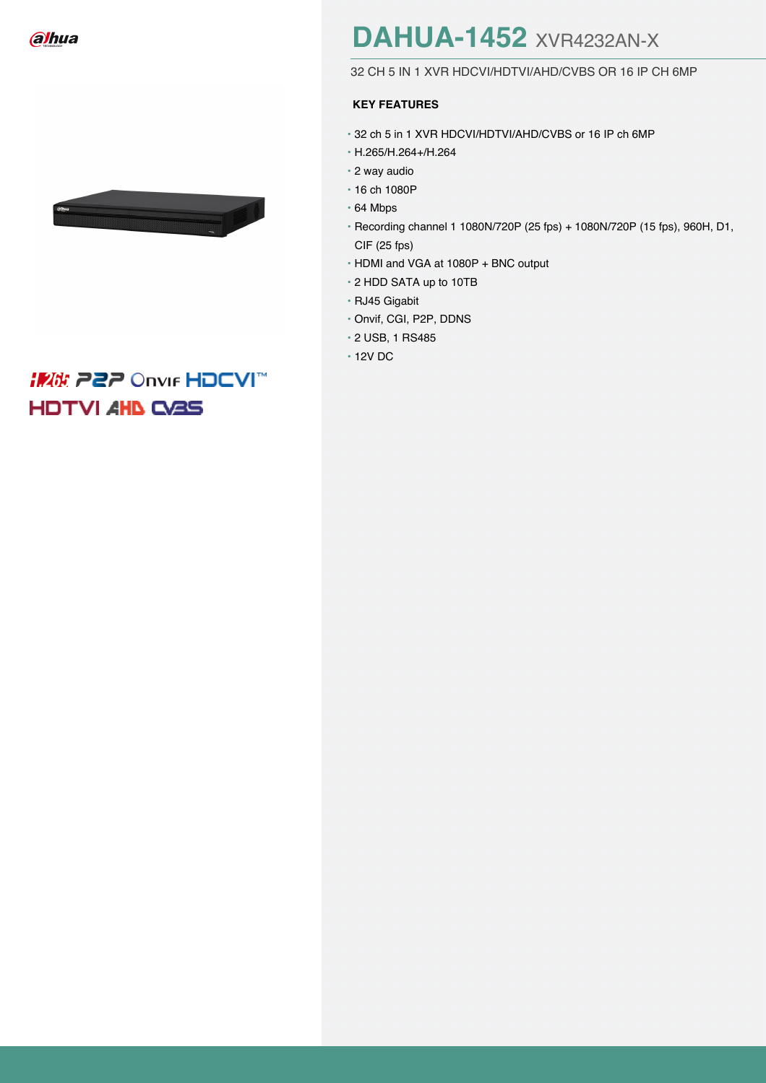



## **IMA: 222 Onvir HDCVI HDTVI AHD CASS**

# **[DAHUA-1452](https://www.bydemes.com/en/producto/DAHUA-1452-cat1-id8405)** XVR4232AN-X

#### 32 CH 5 IN 1 XVR HDCVI/HDTVI/AHD/CVBS OR 16 IP CH 6MP

### **KEY FEATURES**

- 32 ch 5 in 1 XVR HDCVI/HDTVI/AHD/CVBS or 16 IP ch 6MP
- H.265/H.264+/H.264
- 2 way audio
- 16 ch 1080P
- 64 Mbps
- Recording channel 1 1080N/720P (25 fps) + 1080N/720P (15 fps), 960H, D1, CIF (25 fps)
- HDMI and VGA at 1080P + BNC output
- 2 HDD SATA up to 10TB
- RJ45 Gigabit
- Onvif, CGI, P2P, DDNS
- 2 USB, 1 RS485
- 12V DC